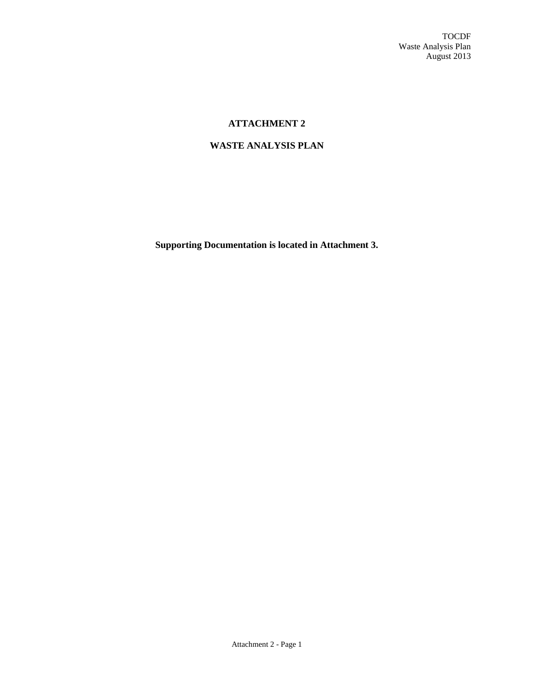TOCDF Waste Analysis Plan August 2013

# **ATTACHMENT 2**

# **WASTE ANALYSIS PLAN**

**Supporting Documentation is located in Attachment 3.**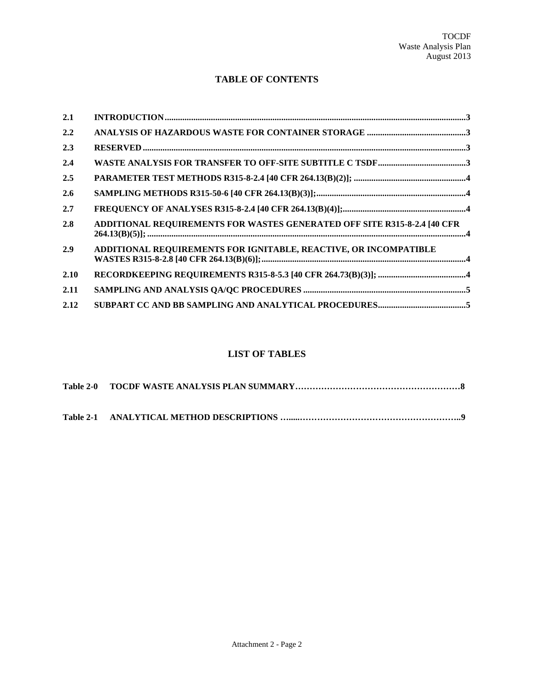# **TABLE OF CONTENTS**

| 2.1  |                                                                          |  |
|------|--------------------------------------------------------------------------|--|
| 2.2  |                                                                          |  |
| 2.3  |                                                                          |  |
| 2.4  |                                                                          |  |
| 2.5  |                                                                          |  |
| 2.6  |                                                                          |  |
| 2.7  |                                                                          |  |
| 2.8  | ADDITIONAL REQUIREMENTS FOR WASTES GENERATED OFF SITE R315-8-2.4 [40 CFR |  |
| 2.9  | ADDITIONAL REQUIREMENTS FOR IGNITABLE, REACTIVE, OR INCOMPATIBLE         |  |
| 2.10 |                                                                          |  |
| 2.11 |                                                                          |  |
| 2.12 |                                                                          |  |

# **LIST OF TABLES**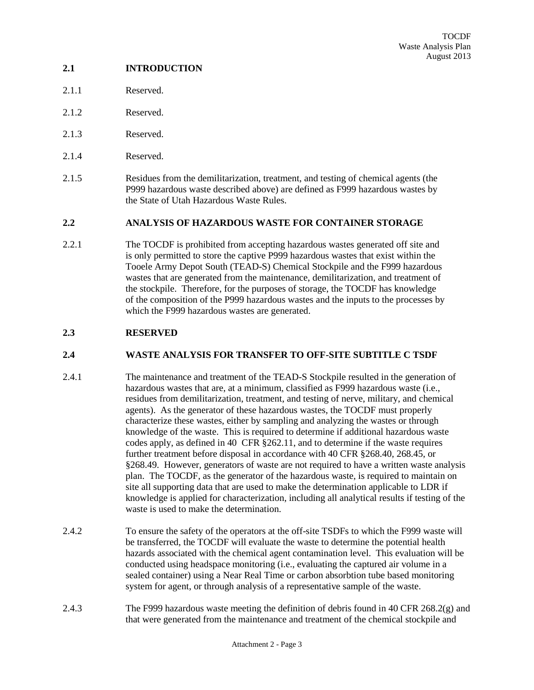# <span id="page-2-0"></span>**2.1 INTRODUCTION**

- 2.1.1 Reserved.
- 2.1.2 Reserved.
- 2.1.3 Reserved
- 2.1.4 Reserved.
- 2.1.5 Residues from the demilitarization, treatment, and testing of chemical agents (the P999 hazardous waste described above) are defined as F999 hazardous wastes by the State of Utah Hazardous Waste Rules.

## <span id="page-2-1"></span>**2.2 ANALYSIS OF HAZARDOUS WASTE FOR CONTAINER STORAGE**

2.2.1 The TOCDF is prohibited from accepting hazardous wastes generated off site and is only permitted to store the captive P999 hazardous wastes that exist within the Tooele Army Depot South (TEAD-S) Chemical Stockpile and the F999 hazardous wastes that are generated from the maintenance, demilitarization, and treatment of the stockpile. Therefore, for the purposes of storage, the TOCDF has knowledge of the composition of the P999 hazardous wastes and the inputs to the processes by which the F999 hazardous wastes are generated.

## <span id="page-2-2"></span>**2.3 RESERVED**

# <span id="page-2-3"></span>**2.4 WASTE ANALYSIS FOR TRANSFER TO OFF-SITE SUBTITLE C TSDF**

- 2.4.1 The maintenance and treatment of the TEAD-S Stockpile resulted in the generation of hazardous wastes that are, at a minimum, classified as F999 hazardous waste (i.e., residues from demilitarization, treatment, and testing of nerve, military, and chemical agents). As the generator of these hazardous wastes, the TOCDF must properly characterize these wastes, either by sampling and analyzing the wastes or through knowledge of the waste. This is required to determine if additional hazardous waste codes apply, as defined in 40 CFR §262.11, and to determine if the waste requires further treatment before disposal in accordance with 40 CFR §268.40, 268.45, or §268.49. However, generators of waste are not required to have a written waste analysis plan. The TOCDF, as the generator of the hazardous waste, is required to maintain on site all supporting data that are used to make the determination applicable to LDR if knowledge is applied for characterization, including all analytical results if testing of the waste is used to make the determination.
- 2.4.2 To ensure the safety of the operators at the off-site TSDFs to which the F999 waste will be transferred, the TOCDF will evaluate the waste to determine the potential health hazards associated with the chemical agent contamination level. This evaluation will be conducted using headspace monitoring (i.e., evaluating the captured air volume in a sealed container) using a Near Real Time or carbon absorbtion tube based monitoring system for agent, or through analysis of a representative sample of the waste.
- 2.4.3 The F999 hazardous waste meeting the definition of debris found in 40 CFR 268.2(g) and that were generated from the maintenance and treatment of the chemical stockpile and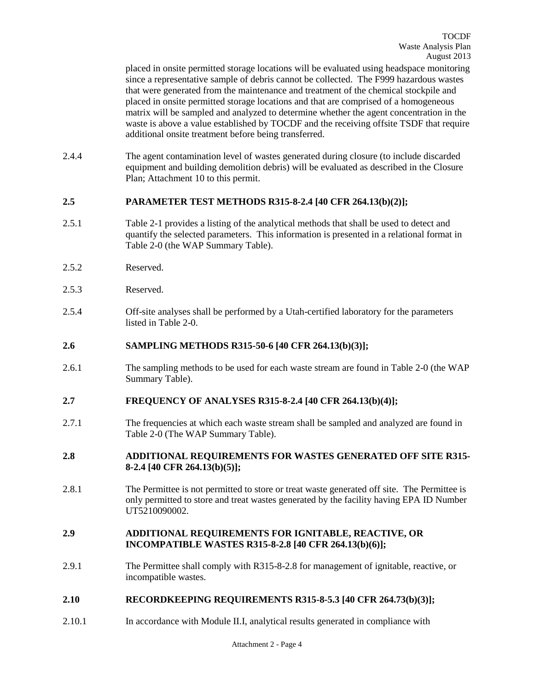placed in onsite permitted storage locations will be evaluated using headspace monitoring since a representative sample of debris cannot be collected. The F999 hazardous wastes that were generated from the maintenance and treatment of the chemical stockpile and placed in onsite permitted storage locations and that are comprised of a homogeneous matrix will be sampled and analyzed to determine whether the agent concentration in the waste is above a value established by TOCDF and the receiving offsite TSDF that require additional onsite treatment before being transferred.

2.4.4 The agent contamination level of wastes generated during closure (to include discarded equipment and building demolition debris) will be evaluated as described in the Closure Plan; Attachment 10 to this permit.

### <span id="page-3-0"></span>**2.5 PARAMETER TEST METHODS R315-8-2.4 [40 CFR 264.13(b)(2)];**

- 2.5.1 Table 2-1 provides a listing of the analytical methods that shall be used to detect and quantify the selected parameters. This information is presented in a relational format in Table 2-0 (the WAP Summary Table).
- 2.5.2 Reserved.
- 2.5.3 Reserved.
- 2.5.4 Off-site analyses shall be performed by a Utah-certified laboratory for the parameters listed in Table 2-0.

#### <span id="page-3-1"></span>**2.6 SAMPLING METHODS R315-50-6 [40 CFR 264.13(b)(3)];**

2.6.1 The sampling methods to be used for each waste stream are found in Table 2-0 (the WAP Summary Table).

#### <span id="page-3-2"></span>**2.7 FREQUENCY OF ANALYSES R315-8-2.4 [40 CFR 264.13(b)(4)];**

2.7.1 The frequencies at which each waste stream shall be sampled and analyzed are found in Table 2-0 (The WAP Summary Table).

### <span id="page-3-3"></span>**2.8 ADDITIONAL REQUIREMENTS FOR WASTES GENERATED OFF SITE R315- 8-2.4 [40 CFR 264.13(b)(5)];**

2.8.1 The Permittee is not permitted to store or treat waste generated off site. The Permittee is only permitted to store and treat wastes generated by the facility having EPA ID Number UT5210090002.

#### <span id="page-3-4"></span>**2.9 ADDITIONAL REQUIREMENTS FOR IGNITABLE, REACTIVE, OR INCOMPATIBLE WASTES R315-8-2.8 [40 CFR 264.13(b)(6)];**

2.9.1 The Permittee shall comply with R315-8-2.8 for management of ignitable, reactive, or incompatible wastes.

#### <span id="page-3-5"></span>**2.10 RECORDKEEPING REQUIREMENTS R315-8-5.3 [40 CFR 264.73(b)(3)];**

2.10.1 In accordance with Module II.I, analytical results generated in compliance with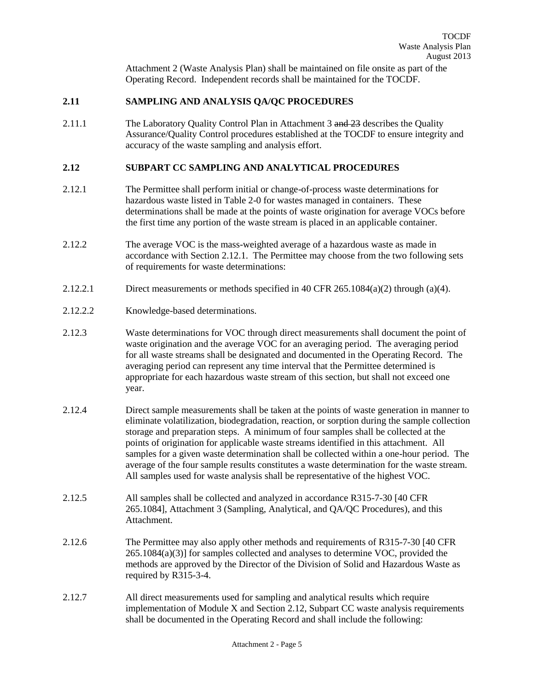Attachment 2 (Waste Analysis Plan) shall be maintained on file onsite as part of the Operating Record. Independent records shall be maintained for the TOCDF.

### <span id="page-4-0"></span>**2.11 SAMPLING AND ANALYSIS QA/QC PROCEDURES**

2.11.1 The Laboratory Quality Control Plan in Attachment 3 and 23 describes the Quality Assurance/Quality Control procedures established at the TOCDF to ensure integrity and accuracy of the waste sampling and analysis effort.

### <span id="page-4-1"></span>**2.12 SUBPART CC SAMPLING AND ANALYTICAL PROCEDURES**

- 2.12.1 The Permittee shall perform initial or change-of-process waste determinations for hazardous waste listed in Table 2-0 for wastes managed in containers. These determinations shall be made at the points of waste origination for average VOCs before the first time any portion of the waste stream is placed in an applicable container.
- 2.12.2 The average VOC is the mass-weighted average of a hazardous waste as made in accordance with Section 2.12.1. The Permittee may choose from the two following sets of requirements for waste determinations:
- 2.12.2.1 Direct measurements or methods specified in 40 CFR 265.1084(a)(2) through (a)(4).
- 2.12.2.2 Knowledge-based determinations.
- 2.12.3 Waste determinations for VOC through direct measurements shall document the point of waste origination and the average VOC for an averaging period. The averaging period for all waste streams shall be designated and documented in the Operating Record. The averaging period can represent any time interval that the Permittee determined is appropriate for each hazardous waste stream of this section, but shall not exceed one year.
- 2.12.4 Direct sample measurements shall be taken at the points of waste generation in manner to eliminate volatilization, biodegradation, reaction, or sorption during the sample collection storage and preparation steps. A minimum of four samples shall be collected at the points of origination for applicable waste streams identified in this attachment. All samples for a given waste determination shall be collected within a one-hour period. The average of the four sample results constitutes a waste determination for the waste stream. All samples used for waste analysis shall be representative of the highest VOC.
- 2.12.5 All samples shall be collected and analyzed in accordance R315-7-30 [40 CFR 265.1084], Attachment 3 (Sampling, Analytical, and QA/QC Procedures), and this Attachment.
- 2.12.6 The Permittee may also apply other methods and requirements of R315-7-30 [40 CFR 265.1084(a)(3)] for samples collected and analyses to determine VOC, provided the methods are approved by the Director of the Division of Solid and Hazardous Waste as required by R315-3-4.
- 2.12.7 All direct measurements used for sampling and analytical results which require implementation of Module X and Section 2.12, Subpart CC waste analysis requirements shall be documented in the Operating Record and shall include the following: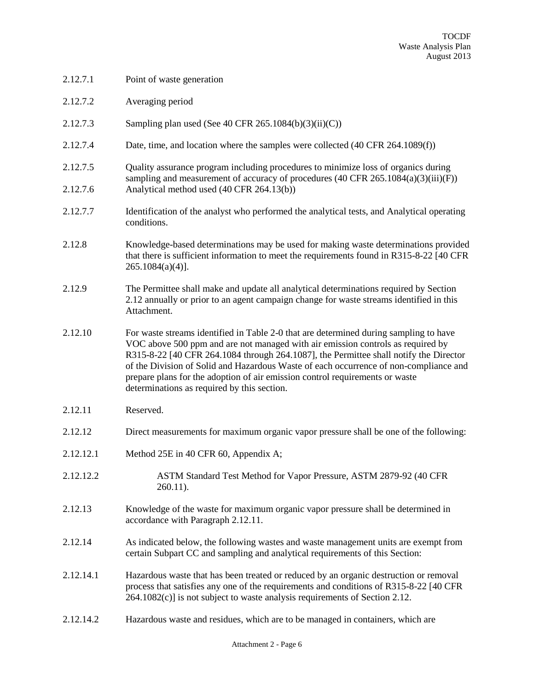| 2.12.7.1             | Point of waste generation                                                                                                                                                                                                                                                                                                                                                                                                                                                                 |
|----------------------|-------------------------------------------------------------------------------------------------------------------------------------------------------------------------------------------------------------------------------------------------------------------------------------------------------------------------------------------------------------------------------------------------------------------------------------------------------------------------------------------|
| 2.12.7.2             | Averaging period                                                                                                                                                                                                                                                                                                                                                                                                                                                                          |
| 2.12.7.3             | Sampling plan used (See 40 CFR 265.1084(b)(3)(ii)(C))                                                                                                                                                                                                                                                                                                                                                                                                                                     |
| 2.12.7.4             | Date, time, and location where the samples were collected (40 CFR 264.1089(f))                                                                                                                                                                                                                                                                                                                                                                                                            |
| 2.12.7.5<br>2.12.7.6 | Quality assurance program including procedures to minimize loss of organics during<br>sampling and measurement of accuracy of procedures (40 CFR 265.1084(a)(3)(iii)(F))<br>Analytical method used (40 CFR 264.13(b))                                                                                                                                                                                                                                                                     |
| 2.12.7.7             | Identification of the analyst who performed the analytical tests, and Analytical operating<br>conditions.                                                                                                                                                                                                                                                                                                                                                                                 |
| 2.12.8               | Knowledge-based determinations may be used for making waste determinations provided<br>that there is sufficient information to meet the requirements found in R315-8-22 [40 CFR<br>$265.1084(a)(4)$ ].                                                                                                                                                                                                                                                                                    |
| 2.12.9               | The Permittee shall make and update all analytical determinations required by Section<br>2.12 annually or prior to an agent campaign change for waste streams identified in this<br>Attachment.                                                                                                                                                                                                                                                                                           |
| 2.12.10              | For waste streams identified in Table 2-0 that are determined during sampling to have<br>VOC above 500 ppm and are not managed with air emission controls as required by<br>R315-8-22 [40 CFR 264.1084 through 264.1087], the Permittee shall notify the Director<br>of the Division of Solid and Hazardous Waste of each occurrence of non-compliance and<br>prepare plans for the adoption of air emission control requirements or waste<br>determinations as required by this section. |
| 2.12.11              | Reserved.                                                                                                                                                                                                                                                                                                                                                                                                                                                                                 |
| 2.12.12              | Direct measurements for maximum organic vapor pressure shall be one of the following:                                                                                                                                                                                                                                                                                                                                                                                                     |
| 2.12.12.1            | Method 25E in 40 CFR 60, Appendix A;                                                                                                                                                                                                                                                                                                                                                                                                                                                      |
| 2.12.12.2            | ASTM Standard Test Method for Vapor Pressure, ASTM 2879-92 (40 CFR<br>$260.11$ ).                                                                                                                                                                                                                                                                                                                                                                                                         |
| 2.12.13              | Knowledge of the waste for maximum organic vapor pressure shall be determined in<br>accordance with Paragraph 2.12.11.                                                                                                                                                                                                                                                                                                                                                                    |
| 2.12.14              | As indicated below, the following wastes and waste management units are exempt from<br>certain Subpart CC and sampling and analytical requirements of this Section:                                                                                                                                                                                                                                                                                                                       |
| 2.12.14.1            | Hazardous waste that has been treated or reduced by an organic destruction or removal<br>process that satisfies any one of the requirements and conditions of R315-8-22 [40 CFR<br>264.1082(c)] is not subject to waste analysis requirements of Section 2.12.                                                                                                                                                                                                                            |
| 2.12.14.2            | Hazardous waste and residues, which are to be managed in containers, which are                                                                                                                                                                                                                                                                                                                                                                                                            |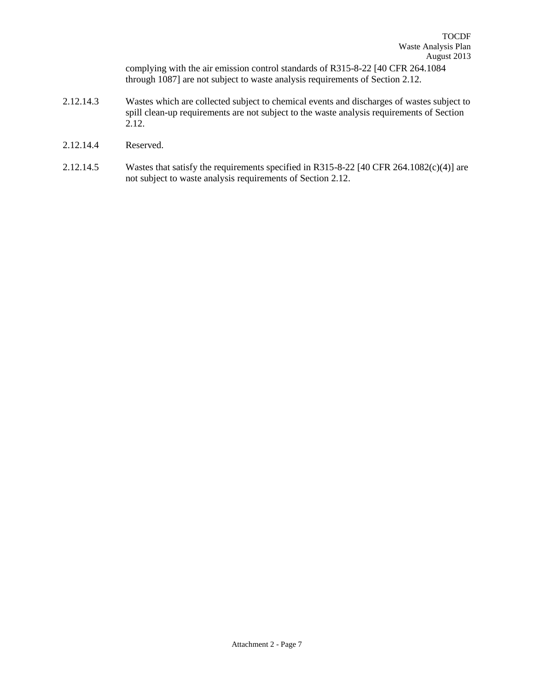complying with the air emission control standards of R315-8-22 [40 CFR 264.1084 through 1087] are not subject to waste analysis requirements of Section 2.12.

- 2.12.14.3 Wastes which are collected subject to chemical events and discharges of wastes subject to spill clean-up requirements are not subject to the waste analysis requirements of Section 2.12.
- 2.12.14.4 Reserved.
- 2.12.14.5 Wastes that satisfy the requirements specified in R315-8-22 [40 CFR 264.1082(c)(4)] are not subject to waste analysis requirements of Section 2.12.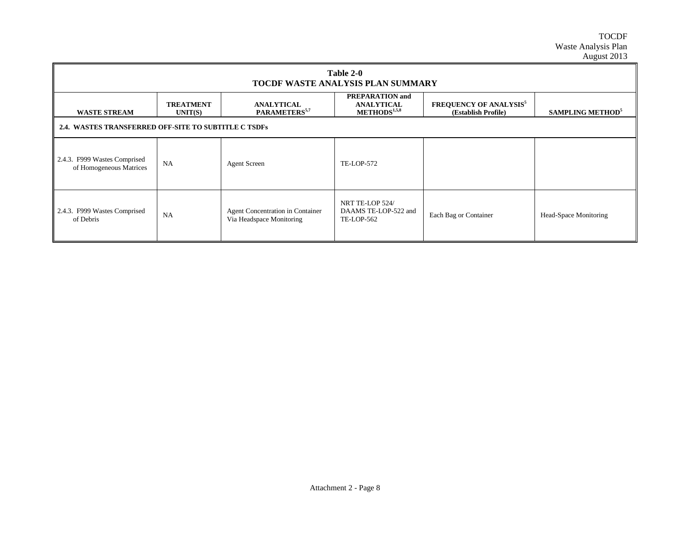TOCDF Waste Analysis Plan August 2013

| Table 2-0<br><b>TOCDF WASTE ANALYSIS PLAN SUMMARY</b>   |                             |                                                              |                                                                         |                                                                 |                                     |  |  |
|---------------------------------------------------------|-----------------------------|--------------------------------------------------------------|-------------------------------------------------------------------------|-----------------------------------------------------------------|-------------------------------------|--|--|
| <b>WASTE STREAM</b>                                     | <b>TREATMENT</b><br>UNIT(S) | <b>ANALYTICAL</b><br>PARAMETERS <sup>5,7</sup>               | <b>PREPARATION</b> and<br><b>ANALYTICAL</b><br>METHODS <sup>1,5,8</sup> | <b>FREQUENCY OF ANALYSIS<sup>5</sup></b><br>(Establish Profile) | <b>SAMPLING METHOD</b> <sup>5</sup> |  |  |
| 2.4. WASTES TRANSFERRED OFF-SITE TO SUBTITLE C TSDFs    |                             |                                                              |                                                                         |                                                                 |                                     |  |  |
| 2.4.3. F999 Wastes Comprised<br>of Homogeneous Matrices | <b>NA</b>                   | <b>Agent Screen</b>                                          | <b>TE-LOP-572</b>                                                       |                                                                 |                                     |  |  |
| $\parallel$ 2.4.3. F999 Wastes Comprised<br>of Debris   | NA                          | Agent Concentration in Container<br>Via Headspace Monitoring | NRT TE-LOP 524/<br>DAAMS TE-LOP-522 and<br>TE-LOP-562                   | Each Bag or Container                                           | Head-Space Monitoring               |  |  |